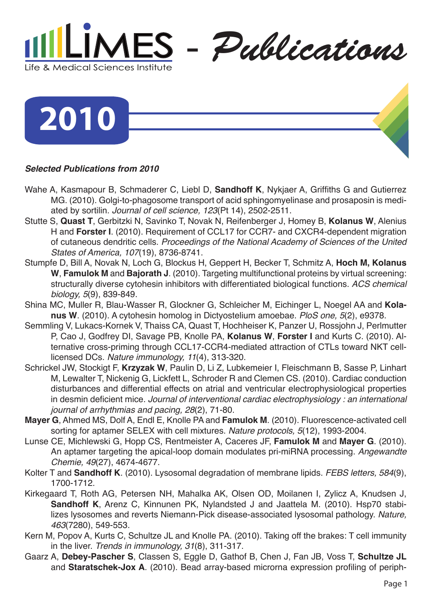

**2010**

## *Selected Publications from 2010*

- Wahe A, Kasmapour B, Schmaderer C, Liebl D, **Sandhoff K**, Nykjaer A, Griffiths G and Gutierrez MG. (2010). Golgi-to-phagosome transport of acid sphingomyelinase and prosaposin is mediated by sortilin. *Journal of cell science, 123*(Pt 14), 2502-2511.
- Stutte S, **Quast T**, Gerbitzki N, Savinko T, Novak N, Reifenberger J, Homey B, **Kolanus W**, Alenius H and **Forster I**. (2010). Requirement of CCL17 for CCR7- and CXCR4-dependent migration of cutaneous dendritic cells. *Proceedings of the National Academy of Sciences of the United States of America, 107*(19), 8736-8741.
- Stumpfe D, Bill A, Novak N, Loch G, Blockus H, Geppert H, Becker T, Schmitz A, **Hoch M, Kolanus W**, **Famulok M** and **Bajorath J**. (2010). Targeting multifunctional proteins by virtual screening: structurally diverse cytohesin inhibitors with differentiated biological functions. *ACS chemical biology, 5*(9), 839-849.
- Shina MC, Muller R, Blau-Wasser R, Glockner G, Schleicher M, Eichinger L, Noegel AA and **Kolanus W**. (2010). A cytohesin homolog in Dictyostelium amoebae. *PloS one, 5*(2), e9378.
- Semmling V, Lukacs-Kornek V, Thaiss CA, Quast T, Hochheiser K, Panzer U, Rossjohn J, Perlmutter P, Cao J, Godfrey DI, Savage PB, Knolle PA, **Kolanus W**, **Forster I** and Kurts C. (2010). Alternative cross-priming through CCL17-CCR4-mediated attraction of CTLs toward NKT celllicensed DCs. *Nature immunology, 11*(4), 313-320.
- Schrickel JW, Stockigt F, **Krzyzak W**, Paulin D, Li Z, Lubkemeier I, Fleischmann B, Sasse P, Linhart M, Lewalter T, Nickenig G, Lickfett L, Schroder R and Clemen CS. (2010). Cardiac conduction disturbances and differential effects on atrial and ventricular electrophysiological properties in desmin deficient mice. *Journal of interventional cardiac electrophysiology : an international journal of arrhythmias and pacing, 28*(2), 71-80.
- **Mayer G**, Ahmed MS, Dolf A, Endl E, Knolle PA and **Famulok M**. (2010). Fluorescence-activated cell sorting for aptamer SELEX with cell mixtures. *Nature protocols, 5*(12), 1993-2004.
- Lunse CE, Michlewski G, Hopp CS, Rentmeister A, Caceres JF, **Famulok M** and **Mayer G**. (2010). An aptamer targeting the apical-loop domain modulates pri-miRNA processing. *Angewandte Chemie, 49*(27), 4674-4677.
- Kolter T and **Sandhoff K**. (2010). Lysosomal degradation of membrane lipids. *FEBS letters, 584*(9), 1700-1712.
- Kirkegaard T, Roth AG, Petersen NH, Mahalka AK, Olsen OD, Moilanen I, Zylicz A, Knudsen J, **Sandhoff K**, Arenz C, Kinnunen PK, Nylandsted J and Jaattela M. (2010). Hsp70 stabilizes lysosomes and reverts Niemann-Pick disease-associated lysosomal pathology. *Nature, 463*(7280), 549-553.
- Kern M, Popov A, Kurts C, Schultze JL and Knolle PA. (2010). Taking off the brakes: T cell immunity in the liver. *Trends in immunology, 31*(8), 311-317.
- Gaarz A, **Debey-Pascher S**, Classen S, Eggle D, Gathof B, Chen J, Fan JB, Voss T, **Schultze JL** and **Staratschek-Jox A**. (2010). Bead array-based microrna expression profiling of periph-